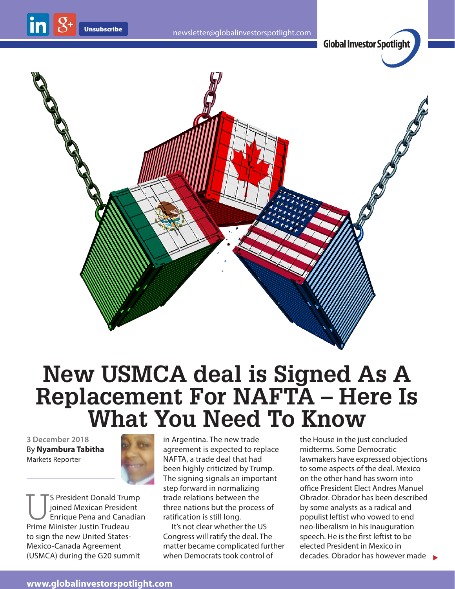

## **New USMCA deal is Signed As A Replacement For NAFTA – Here Is What You Need To Know**

**3 December 2018** By **Nyambura Tabitha** Markets Reporter



S President Donald Trump<br>Joined Mexican President<br>Enrique Pena and Canadia<br>Prime Minister Justin Trudeau joined Mexican President Enrique Pena and Canadian Prime Minister Justin Trudeau to sign the new United States-Mexico-Canada Agreement (USMCA) during the G20 summit

in Argentina. The new trade agreement is expected to replace NAFTA, a trade deal that had been highly criticized by Trump. The signing signals an important step forward in normalizing trade relations between the three nations but the process of ratification is still long.

It's not clear whether the US Congress will ratify the deal. The matter became complicated further when Democrats took control of

 $decades.$  Obrador has however made  $\rightarrow$ the House in the just concluded midterms. Some Democratic lawmakers have expressed objections to some aspects of the deal. Mexico on the other hand has sworn into office President Elect Andres Manuel Obrador. Obrador has been described by some analysts as a radical and populist leftist who vowed to end neo-liberalism in his inauguration speech. He is the first leftist to be elected President in Mexico in